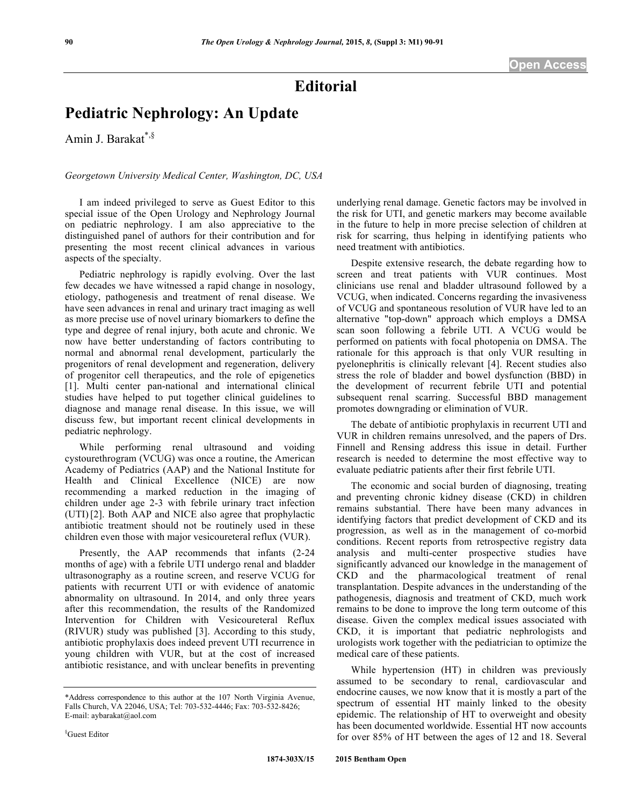## **Editorial**

## **Pediatric Nephrology: An Update**

Amin J. Barakat<sup>\*,§</sup>

## *Georgetown University Medical Center, Washington, DC, USA*

I am indeed privileged to serve as Guest Editor to this special issue of the Open Urology and Nephrology Journal on pediatric nephrology. I am also appreciative to the distinguished panel of authors for their contribution and for presenting the most recent clinical advances in various aspects of the specialty.

Pediatric nephrology is rapidly evolving. Over the last few decades we have witnessed a rapid change in nosology, etiology, pathogenesis and treatment of renal disease. We have seen advances in renal and urinary tract imaging as well as more precise use of novel urinary biomarkers to define the type and degree of renal injury, both acute and chronic. We now have better understanding of factors contributing to normal and abnormal renal development, particularly the progenitors of renal development and regeneration, delivery of progenitor cell therapeutics, and the role of epigenetics [1]. Multi center pan-national and international clinical studies have helped to put together clinical guidelines to diagnose and manage renal disease. In this issue, we will discuss few, but important recent clinical developments in pediatric nephrology.

While performing renal ultrasound and voiding cystourethrogram (VCUG) was once a routine, the American Academy of Pediatrics (AAP) and the National Institute for Health and Clinical Excellence (NICE) are now recommending a marked reduction in the imaging of children under age 2-3 with febrile urinary tract infection (UTI) [2]. Both AAP and NICE also agree that prophylactic antibiotic treatment should not be routinely used in these children even those with major vesicoureteral reflux (VUR).

Presently, the AAP recommends that infants (2-24 months of age) with a febrile UTI undergo renal and bladder ultrasonography as a routine screen, and reserve VCUG for patients with recurrent UTI or with evidence of anatomic abnormality on ultrasound. In 2014, and only three years after this recommendation, the results of the Randomized Intervention for Children with Vesicoureteral Reflux (RIVUR) study was published [3]. According to this study, antibiotic prophylaxis does indeed prevent UTI recurrence in young children with VUR, but at the cost of increased antibiotic resistance, and with unclear benefits in preventing underlying renal damage. Genetic factors may be involved in the risk for UTI, and genetic markers may become available in the future to help in more precise selection of children at risk for scarring, thus helping in identifying patients who need treatment with antibiotics.

Despite extensive research, the debate regarding how to screen and treat patients with VUR continues. Most clinicians use renal and bladder ultrasound followed by a VCUG, when indicated. Concerns regarding the invasiveness of VCUG and spontaneous resolution of VUR have led to an alternative "top-down" approach which employs a DMSA scan soon following a febrile UTI. A VCUG would be performed on patients with focal photopenia on DMSA. The rationale for this approach is that only VUR resulting in pyelonephritis is clinically relevant [4]. Recent studies also stress the role of bladder and bowel dysfunction (BBD) in the development of recurrent febrile UTI and potential subsequent renal scarring. Successful BBD management promotes downgrading or elimination of VUR.

The debate of antibiotic prophylaxis in recurrent UTI and VUR in children remains unresolved, and the papers of Drs. Finnell and Rensing address this issue in detail. Further research is needed to determine the most effective way to evaluate pediatric patients after their first febrile UTI.

The economic and social burden of diagnosing, treating and preventing chronic kidney disease (CKD) in children remains substantial. There have been many advances in identifying factors that predict development of CKD and its progression, as well as in the management of co-morbid conditions. Recent reports from retrospective registry data analysis and multi-center prospective studies have significantly advanced our knowledge in the management of CKD and the pharmacological treatment of renal transplantation. Despite advances in the understanding of the pathogenesis, diagnosis and treatment of CKD, much work remains to be done to improve the long term outcome of this disease. Given the complex medical issues associated with CKD, it is important that pediatric nephrologists and urologists work together with the pediatrician to optimize the medical care of these patients.

While hypertension (HT) in children was previously assumed to be secondary to renal, cardiovascular and endocrine causes, we now know that it is mostly a part of the spectrum of essential HT mainly linked to the obesity epidemic. The relationship of HT to overweight and obesity has been documented worldwide. Essential HT now accounts for over 85% of HT between the ages of 12 and 18. Several

<sup>\*</sup>Address correspondence to this author at the 107 North Virginia Avenue, Falls Church, VA 22046, USA; Tel: 703-532-4446; Fax: 703-532-8426; E-mail: aybarakat@aol.com